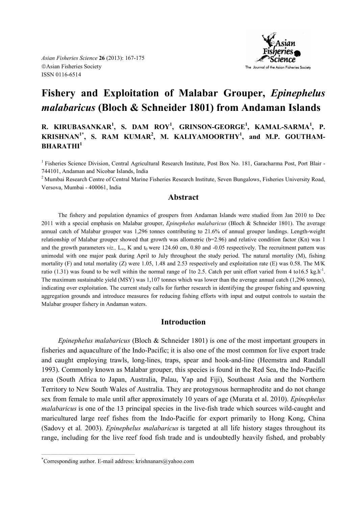

# **Fishery and Exploitation of Malabar Grouper,** *Epinephelus malabaricus* **(Bloch & Schneider 1801) from Andaman Islands**

**R. KIRUBASANKAR<sup>1</sup>, S. DAM ROY<sup>1</sup>, GRINSON-GEORGE<sup>1</sup>, KAMAL-SARMA<sup>1</sup>, P. KRISH\*A\*1\*, S. RAM KUMAR<sup>2</sup> , M. KALIYAMOORTHY<sup>1</sup> , and M.P. GOUTHAM-BHARATHI<sup>1</sup>**

<sup>1</sup> Fisheries Science Division, Central Agricultural Research Institute, Post Box No. 181, Garacharma Post, Port Blair -744101, Andaman and Nicobar Islands, India

<sup>2</sup> Mumbai Research Centre of Central Marine Fisheries Research Institute, Seven Bungalows, Fisheries University Road, Versova, Mumbai - 400061, India

## **Abstract**

The fishery and population dynamics of groupers from Andaman Islands were studied from Jan 2010 to Dec 2011 with a special emphasis on Malabar grouper, *Epinephelus malabaricus* (Bloch & Schneider 1801). The average annual catch of Malabar grouper was 1,296 tonnes contributing to 21.6% of annual grouper landings. Length-weight relationship of Malabar grouper showed that growth was allometric (b=2.96) and relative condition factor (Kn) was 1 and the growth parameters *viz.*, L<sub>∞</sub>, K and  $t_0$  were 124.60 cm, 0.80 and -0.05 respectively. The recruitment pattern was unimodal with one major peak during April to July throughout the study period. The natural mortality (M), fishing mortality (F) and total mortality (Z) were 1.05, 1.48 and 2.53 respectively and exploitation rate (E) was 0.58. The M/K ratio (1.31) was found to be well within the normal range of 1 to 2.5. Catch per unit effort varied from 4 to 16.5 kg.h<sup>-1</sup>. The maximum sustainable yield (MSY) was 1,107 tonnes which was lower than the average annual catch (1,296 tonnes), indicating over exploitation. The current study calls for further research in identifying the grouper fishing and spawning aggregation grounds and introduce measures for reducing fishing efforts with input and output controls to sustain the Malabar grouper fishery in Andaman waters.

# **Introduction**

*Epinephelus malabaricus* (Bloch & Schneider 1801) is one of the most important groupers in fisheries and aquaculture of the Indo-Pacific; it is also one of the most common for live export trade and caught employing trawls, long-lines, traps, spear and hook-and-line (Heemstra and Randall 1993). Commonly known as Malabar grouper, this species is found in the Red Sea, the Indo-Pacific area (South Africa to Japan, Australia, Palau, Yap and Fiji), Southeast Asia and the Northern Territory to New South Wales of Australia. They are protogynous hermaphrodite and do not change sex from female to male until after approximately 10 years of age (Murata et al. 2010). *Epinephelus malabaricus* is one of the 13 principal species in the live-fish trade which sources wild-caught and maricultured large reef fishes from the Indo-Pacific for export primarily to Hong Kong, China (Sadovy et al*.* 2003). *Epinephelus malabaricus* is targeted at all life history stages throughout its range, including for the live reef food fish trade and is undoubtedly heavily fished, and probably

 $\mathcal{L}_\text{max} = \mathcal{L}_\text{max} = \mathcal{L}_\text{max} = \mathcal{L}_\text{max} = \mathcal{L}_\text{max} = \mathcal{L}_\text{max} = \mathcal{L}_\text{max}$ 

<sup>\*</sup>Corresponding author. E-mail address: krishnanars@yahoo.com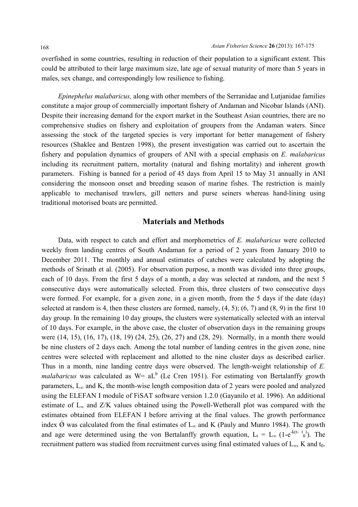overfished in some countries, resulting in reduction of their population to a significant extent. This could be attributed to their large maximum size, late age of sexual maturity of more than 5 years in males, sex change, and correspondingly low resilience to fishing.

*Epinephelus malabaricus,* along with other members of the Serranidae and Lutjanidae families constitute a major group of commercially important fishery of Andaman and Nicobar Islands (ANI). Despite their increasing demand for the export market in the Southeast Asian countries, there are no comprehensive studies on fishery and exploitation of groupers from the Andaman waters. Since assessing the stock of the targeted species is very important for better management of fishery resources (Shaklee and Bentzen 1998), the present investigation was carried out to ascertain the fishery and population dynamics of groupers of ANI with a special emphasis on *E. malabaricus* including its recruitment pattern, mortality (natural and fishing mortality) and inherent growth parameters. Fishing is banned for a period of 45 days from April 15 to May 31 annually in ANI considering the monsoon onset and breeding season of marine fishes. The restriction is mainly applicable to mechanised trawlers, gill netters and purse seiners whereas hand-lining using traditional motorised boats are permitted.

# **Materials and Methods**

Data, with respect to catch and effort and morphometrics of *E. malabaricus* were collected weekly from landing centres of South Andaman for a period of 2 years from January 2010 to December 2011. The monthly and annual estimates of catches were calculated by adopting the methods of Srinath et al. (2005). For observation purpose, a month was divided into three groups, each of 10 days. From the first 5 days of a month, a day was selected at random, and the next 5 consecutive days were automatically selected. From this, three clusters of two consecutive days were formed. For example, for a given zone, in a given month, from the 5 days if the date (day) selected at random is 4, then these clusters are formed, namely,  $(4, 5)$ ;  $(6, 7)$  and  $(8, 9)$  in the first 10 day group. In the remaining 10 day groups, the clusters were systematically selected with an interval of 10 days. For example, in the above case, the cluster of observation days in the remaining groups were (14, 15), (16, 17), (18, 19) (24, 25), (26, 27) and (28, 29). Normally, in a month there would be nine clusters of 2 days each. Among the total number of landing centres in the given zone, nine centres were selected with replacement and allotted to the nine cluster days as described earlier. Thus in a month, nine landing centre days were observed. The length-weight relationship of *E. malabaricus* was calculated as  $W= aL^b$  (Le Cren 1951). For estimating von Bertalanffy growth parameters, L<sub>∞</sub> and K, the month-wise length composition data of 2 years were pooled and analyzed using the ELEFAN I module of FiSAT software version 1.2.0 (Gayanilo et al. 1996). An additional estimate of L∞ and Z/K values obtained using the Powell-Wetherall plot was compared with the estimates obtained from ELEFAN I before arriving at the final values. The growth performance index  $\acute{\text{o}}$  was calculated from the final estimates of L<sub>∞</sub> and K (Pauly and Munro 1984). The growth and age were determined using the von Bertalanffy growth equation,  $L_t = L_{\infty} (1 - e^{-k(t - t_0)})$ . The recruitment pattern was studied from recruitment curves using final estimated values of  $L_{\infty}$ , K and t<sub>0</sub>.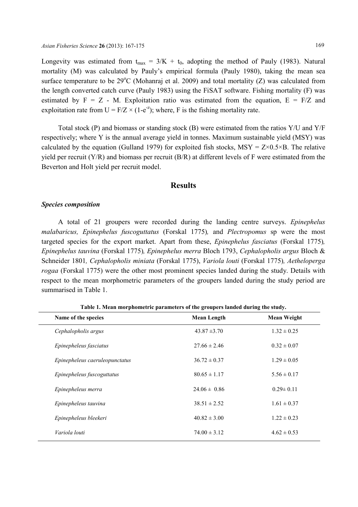Longevity was estimated from  $t_{max} = 3/K + t_0$ , adopting the method of Pauly (1983). Natural mortality (M) was calculated by Pauly's empirical formula (Pauly 1980), taking the mean sea surface temperature to be  $29^{\circ}$ C (Mohanraj et al. 2009) and total mortality (Z) was calculated from the length converted catch curve (Pauly 1983) using the FiSAT software. Fishing mortality (F) was estimated by  $F = Z - M$ . Exploitation ratio was estimated from the equation,  $E = F/Z$  and exploitation rate from  $U = F/Z \times (1-e^{-z})$ ; where, F is the fishing mortality rate.

Total stock (P) and biomass or standing stock (B) were estimated from the ratios Y/U and Y/F respectively; where Y is the annual average yield in tonnes. Maximum sustainable yield (MSY) was calculated by the equation (Gulland 1979) for exploited fish stocks, MSY =  $Z \times 0.5 \times B$ . The relative yield per recruit  $(Y/R)$  and biomass per recruit  $(B/R)$  at different levels of F were estimated from the Beverton and Holt yield per recruit model.

## **Results**

#### *Species composition*

A total of 21 groupers were recorded during the landing centre surveys. *Epinephelus malabaricus, Epinephelus fuscoguttatus* (Forskal 1775)*,* and *Plectropomus* sp were the most targeted species for the export market. Apart from these, *Epinephelus fasciatus* (Forskal 1775)*, Epinephelus tauvina* (Forskal 1775)*, Epinephelus merra* Bloch 1793, *Cephalopholis argus* Bloch & Schneider 1801*, Cephalopholis miniata* (Forskal 1775), *Variola louti* (Forskal 1775)*, Aetheloperga rogaa* (Forskal 1775) were the other most prominent species landed during the study. Details with respect to the mean morphometric parameters of the groupers landed during the study period are summarised in Table 1.

| Name of the species            | <b>Mean Length</b> | <b>Mean Weight</b> |
|--------------------------------|--------------------|--------------------|
| Cephalopholis argus            | $43.87 \pm 3.70$   | $1.32 \pm 0.25$    |
| Epinepheleus fasciatus         | $27.66 \pm 2.46$   | $0.32 \pm 0.07$    |
| Epinepheleus caeruleopunctatus | $36.72 \pm 0.37$   | $1.29 \pm 0.05$    |
| Epinepheleus fuscoguttatus     | $80.65 \pm 1.17$   | $5.56 \pm 0.17$    |
| Epinepheleus merra             | $24.06 \pm 0.86$   | $0.29 \pm 0.11$    |
| Epinepheleus tauvina           | $38.51 \pm 2.52$   | $1.61 \pm 0.37$    |
| Epinepheleus bleekeri          | $40.82 \pm 3.00$   | $1.22 \pm 0.23$    |
| Variola louti                  | $74.00 \pm 3.12$   | $4.62 \pm 0.53$    |

**Table 1. Mean morphometric parameters of the groupers landed during the study.**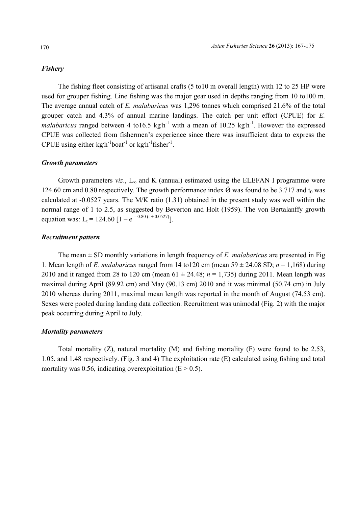#### *Fishery*

The fishing fleet consisting of artisanal crafts (5 to10 m overall length) with 12 to 25 HP were used for grouper fishing. Line fishing was the major gear used in depths ranging from 10 to100 m. The average annual catch of *E. malabaricus* was 1,296 tonnes which comprised 21.6% of the total grouper catch and 4.3% of annual marine landings. The catch per unit effort (CPUE) for *E. malabaricus* ranged between 4 to 16.5 kg h<sup>-1</sup> with a mean of 10.25 kg h<sup>-1</sup>. However the expressed CPUE was collected from fishermen's experience since there was insufficient data to express the CPUE using either  $kg h^{-1}$ boat<sup>-1</sup> or  $kg h^{-1}$ fisher<sup>-1</sup>.

## *Growth parameters*

Growth parameters *viz*.,  $L_{\infty}$  and K (annual) estimated using the ELEFAN I programme were 124.60 cm and 0.80 respectively. The growth performance index  $\acute{\varnothing}$  was found to be 3.717 and t<sub>0</sub> was calculated at -0.0527 years. The M/K ratio (1.31) obtained in the present study was well within the normal range of 1 to 2.5, as suggested by Beverton and Holt (1959). The von Bertalanffy growth equation was:  $L_t = 124.60 [1 - e^{-0.80 (t + 0.0527)}].$ 

#### *Recruitment pattern*

The mean ± SD monthly variations in length frequency of *E. malabaricus* are presented in Fig 1. Mean length of *E. malabaricus* ranged from 14 to 120 cm (mean  $59 \pm 24.08$  SD;  $n = 1,168$ ) during 2010 and it ranged from 28 to 120 cm (mean  $61 \pm 24.48$ ;  $n = 1,735$ ) during 2011. Mean length was maximal during April (89.92 cm) and May (90.13 cm) 2010 and it was minimal (50.74 cm) in July 2010 whereas during 2011, maximal mean length was reported in the month of August (74.53 cm). Sexes were pooled during landing data collection. Recruitment was unimodal (Fig. 2) with the major peak occurring during April to July.

#### *Mortality parameters*

Total mortality  $(Z)$ , natural mortality  $(M)$  and fishing mortality  $(F)$  were found to be 2.53, 1.05, and 1.48 respectively. (Fig. 3 and 4) The exploitation rate (E) calculated using fishing and total mortality was 0.56, indicating overexploitation ( $E > 0.5$ ).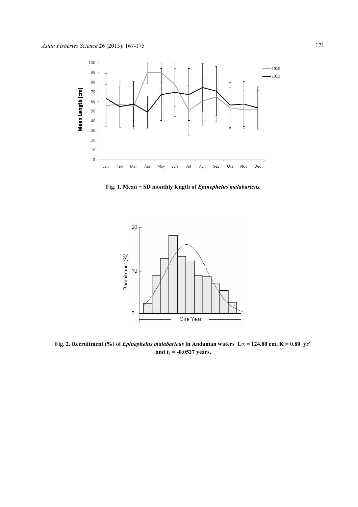

**Fig. 1. Mean ± SD monthly length of**  *Epinephelus malabaricus malabaricus.* 



**Fig. 2. Recruitment (%) of** *Epinephelus malabaricus* **in Andaman waters**  $L \infty = 124.80$  **cm, K = 0.80**  $yr^{-1}$ **and t0 = -0.0527 years.**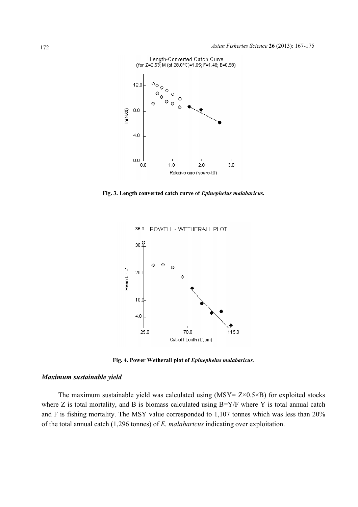

**Fig. 3. Length converted catch curve of**  *Epinephelus malabaricus malabaricus.* 



36.0 POWELL - WETHERALL PLOT

**Fig. 4. Power Wetherall plot of**  *Epinephelus malabaricus malabaricus.*

#### *Maximum sustainable yield*

The maximum sustainable yield was calculated using  $(MSY = Z \times 0.5 \times B)$  for exploited stocks where Z is total mortality, and B is biomass calculated using B=Y/F where Y is total annual catch where Z is total mortality, and B is biomass calculated using  $B=Y/F$  where Y is total annual catch and F is fishing mortality. The MSY value corresponded to  $1,107$  tonnes which was less than 20% of the total annual catch (1,296 tonnes) of *E. malabaricus* indicating over exploitation.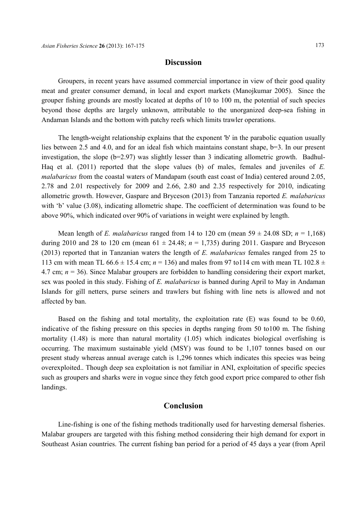## **Discussion**

Groupers, in recent years have assumed commercial importance in view of their good quality meat and greater consumer demand, in local and export markets (Manojkumar 2005). Since the grouper fishing grounds are mostly located at depths of 10 to 100 m, the potential of such species beyond those depths are largely unknown, attributable to the unorganized deep-sea fishing in Andaman Islands and the bottom with patchy reefs which limits trawler operations.

The length-weight relationship explains that the exponent 'b' in the parabolic equation usually lies between 2.5 and 4.0, and for an ideal fish which maintains constant shape, b=3. In our present investigation, the slope (b=2.97) was slightly lesser than 3 indicating allometric growth. Badhul-Haq et al. (2011) reported that the slope values (b) of males, females and juveniles of *E. malabaricus* from the coastal waters of Mandapam (south east coast of India) centered around 2.05, 2.78 and 2.01 respectively for 2009 and 2.66, 2.80 and 2.35 respectively for 2010, indicating allometric growth. However, Gaspare and Bryceson (2013) from Tanzania reported *E. malabaricus* with 'b' value (3.08), indicating allometric shape. The coefficient of determination was found to be above 90%, which indicated over 90% of variations in weight were explained by length.

Mean length of *E. malabaricus* ranged from 14 to 120 cm (mean  $59 \pm 24.08$  SD;  $n = 1,168$ ) during 2010 and 28 to 120 cm (mean  $61 \pm 24.48$ ;  $n = 1,735$ ) during 2011. Gaspare and Bryceson (2013) reported that in Tanzanian waters the length of *E. malabaricus* females ranged from 25 to 113 cm with mean TL  $66.6 \pm 15.4$  cm;  $n = 136$ ) and males from 97 to 114 cm with mean TL 102.8  $\pm$ 4.7 cm; *n* = 36). Since Malabar groupers are forbidden to handling considering their export market, sex was pooled in this study. Fishing of *E. malabaricus* is banned during April to May in Andaman Islands for gill netters, purse seiners and trawlers but fishing with line nets is allowed and not affected by ban.

Based on the fishing and total mortality, the exploitation rate (E) was found to be 0.60, indicative of the fishing pressure on this species in depths ranging from 50 to100 m. The fishing mortality (1.48) is more than natural mortality (1.05) which indicates biological overfishing is occurring. The maximum sustainable yield (MSY) was found to be 1,107 tonnes based on our present study whereas annual average catch is 1,296 tonnes which indicates this species was being overexploited.. Though deep sea exploitation is not familiar in ANI, exploitation of specific species such as groupers and sharks were in vogue since they fetch good export price compared to other fish landings.

## **Conclusion**

Line-fishing is one of the fishing methods traditionally used for harvesting demersal fisheries. Malabar groupers are targeted with this fishing method considering their high demand for export in Southeast Asian countries. The current fishing ban period for a period of 45 days a year (from April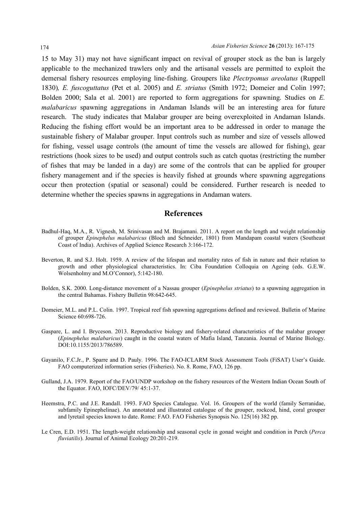15 to May 31) may not have significant impact on revival of grouper stock as the ban is largely applicable to the mechanized trawlers only and the artisanal vessels are permitted to exploit the demersal fishery resources employing line-fishing. Groupers like *Plectrpomus areolatus* (Ruppell 1830)*, E. fuscoguttatus* (Pet et al. 2005) and *E. striatus* (Smith 1972; Domeier and Colin 1997; Bolden 2000; Sala et al. 2001) are reported to form aggregations for spawning. Studies on *E. malabaricus* spawning aggregations in Andaman Islands will be an interesting area for future research. The study indicates that Malabar grouper are being overexploited in Andaman Islands. Reducing the fishing effort would be an important area to be addressed in order to manage the sustainable fishery of Malabar grouper. Input controls such as number and size of vessels allowed for fishing, vessel usage controls (the amount of time the vessels are allowed for fishing), gear restrictions (hook sizes to be used) and output controls such as catch quotas (restricting the number of fishes that may be landed in a day) are some of the controls that can be applied for grouper fishery management and if the species is heavily fished at grounds where spawning aggregations occur then protection (spatial or seasonal) could be considered. Further research is needed to determine whether the species spawns in aggregations in Andaman waters.

## **References**

- Badhul-Haq, M.A., R. Vignesh, M. Srinivasan and M. Brajamani. 2011. A report on the length and weight relationship of grouper *Epinephelus malabaricus* (Bloch and Schneider, 1801) from Mandapam coastal waters (Southeast Coast of India). Archives of Applied Science Research 3:166-172.
- Beverton, R. and S.J. Holt. 1959. A review of the lifespan and mortality rates of fish in nature and their relation to growth and other physiological characteristics. In: Ciba Foundation Colloquia on Ageing (eds. G.E.W. Wolsenholmy and M.O'Connor), 5:142-180.
- Bolden, S.K. 2000. Long-distance movement of a Nassau grouper (*Epinephelus striatus*) to a spawning aggregation in the central Bahamas. Fishery Bulletin 98:642-645.
- Domeier, M.L. and P.L. Colin. 1997. Tropical reef fish spawning aggregations defined and reviewed. Bulletin of Marine Science 60:698-726.
- Gaspare, L. and I. Bryceson. 2013. Reproductive biology and fishery-related characteristics of the malabar grouper (*Epinephelus malabaricus*) caught in the coastal waters of Mafia Island, Tanzania. Journal of Marine Biology. DOI:10.1155/2013/786589.
- Gayanilo, F.C.Jr., P. Sparre and D. Pauly. 1996. The FAO-ICLARM Stock Assessment Tools (FiSAT) User's Guide. FAO computerized information series (Fisheries). No. 8. Rome, FAO, 126 pp.
- Gulland, J.A. 1979. Report of the FAO/UNDP workshop on the fishery resources of the Western Indian Ocean South of the Equator. FAO, IOFC/DEV/79/ 45:1-37.
- Heemstra, P.C. and J.E. Randall. 1993. FAO Species Catalogue. Vol. 16. Groupers of the world (family Serranidae, subfamily Epinephelinae). An annotated and illustrated catalogue of the grouper, rockcod, hind, coral grouper and lyretail species known to date. Rome: FAO. FAO Fisheries Synopsis No. 125(16) 382 pp.
- Le Cren, E.D. 1951. The length-weight relationship and seasonal cycle in gonad weight and condition in Perch (*Perca fluviatilis*). Journal of Animal Ecology 20:201-219.